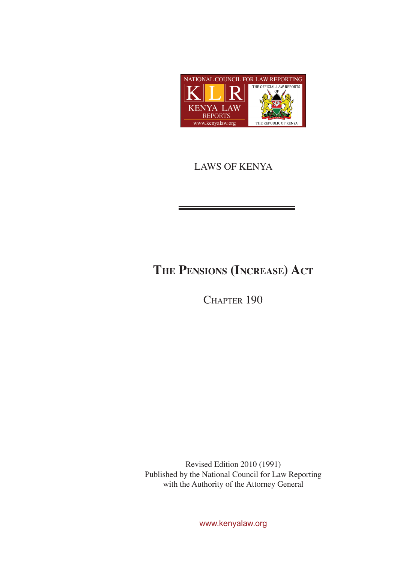

## LAWS OF KENYA

# **The Pensions (Increase) Act**

CHAPTER 190

Revised Edition 2010 (1991) Published by the National Council for Law Reporting with the Authority of the Attorney General

www.kenyalaw.org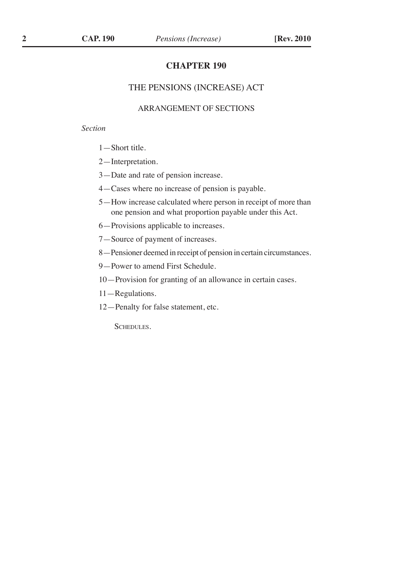#### **CHAPTER 190**

#### THE PENSIONS (INCREASE) ACT

#### ARRANGEMENT OF SECTIONS

#### *Section*

- 1—Short title.
- 2—Interpretation.
- 3—Date and rate of pension increase.
- 4—Cases where no increase of pension is payable.
- 5—How increase calculated where person in receipt of more than one pension and what proportion payable under this Act.
- 6—Provisions applicable to increases.
- 7—Source of payment of increases.
- 8—Pensioner deemed in receipt of pension in certain circumstances.
- 9—Power to amend First Schedule.
- 10—Provision for granting of an allowance in certain cases.
- 11—Regulations.
- 12—Penalty for false statement, etc.

SCHEDULES.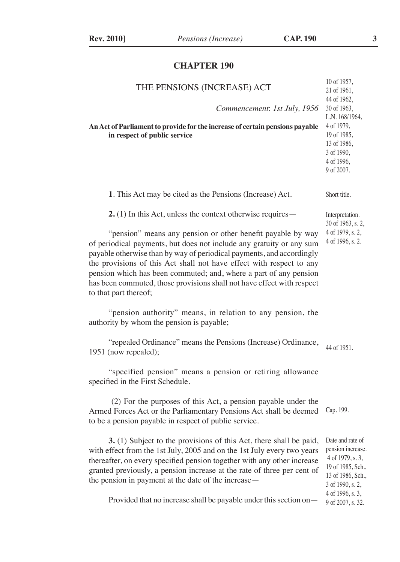## **CHAPTER 190**

| THE PENSIONS (INCREASE) ACT<br>Commencement: 1st July, 1956<br>An Act of Parliament to provide for the increase of certain pensions payable<br>in respect of public service                                                                                                                                                                                                                                                                                  | 10 of 1957,<br>21 of 1961,<br>44 of 1962,<br>30 of 1963,<br>L.N. 168/1964,<br>4 of 1979,<br>19 of 1985,<br>13 of 1986,<br>3 of 1990,<br>4 of 1996,<br>9 of 2007. |  |  |
|--------------------------------------------------------------------------------------------------------------------------------------------------------------------------------------------------------------------------------------------------------------------------------------------------------------------------------------------------------------------------------------------------------------------------------------------------------------|------------------------------------------------------------------------------------------------------------------------------------------------------------------|--|--|
| 1. This Act may be cited as the Pensions (Increase) Act.                                                                                                                                                                                                                                                                                                                                                                                                     | Short title.                                                                                                                                                     |  |  |
| <b>2.</b> (1) In this Act, unless the context otherwise requires $-$                                                                                                                                                                                                                                                                                                                                                                                         | Interpretation.<br>30 of 1963, s. 2,                                                                                                                             |  |  |
| "pension" means any pension or other benefit payable by way<br>of periodical payments, but does not include any gratuity or any sum<br>payable otherwise than by way of periodical payments, and accordingly<br>the provisions of this Act shall not have effect with respect to any<br>pension which has been commuted; and, where a part of any pension<br>has been commuted, those provisions shall not have effect with respect<br>to that part thereof; | 4 of 1979, s. 2,<br>4 of 1996, s. 2.                                                                                                                             |  |  |
| "pension authority" means, in relation to any pension, the<br>authority by whom the pension is payable;                                                                                                                                                                                                                                                                                                                                                      |                                                                                                                                                                  |  |  |
| "repealed Ordinance" means the Pensions (Increase) Ordinance,<br>1951 (now repealed);                                                                                                                                                                                                                                                                                                                                                                        | 44 of 1951.                                                                                                                                                      |  |  |
| "specified pension" means a pension or retiring allowance<br>specified in the First Schedule.                                                                                                                                                                                                                                                                                                                                                                |                                                                                                                                                                  |  |  |
| (2) For the purposes of this Act, a pension payable under the<br>Armed Forces Act or the Parliamentary Pensions Act shall be deemed<br>to be a pension payable in respect of public service.                                                                                                                                                                                                                                                                 | Cap. 199.                                                                                                                                                        |  |  |
| 3. (1) Subject to the provisions of this Act, there shall be paid,<br>with effect from the 1st July, 2005 and on the 1st July every two years<br>thereafter, on every specified pension together with any other increase<br>granted previously, a pension increase at the rate of three per cent of<br>the pension in payment at the date of the increase-                                                                                                   | Date and rate of<br>pension increase.<br>4 of 1979, s. 3,<br>19 of 1985, Sch.,<br>13 of 1986, Sch.,<br>3 of 1990, s. 2,<br>4 of 1996, s. 3,                      |  |  |
| Provided that no increase shall be payable under this section on—                                                                                                                                                                                                                                                                                                                                                                                            | 9 of 2007, s. 32.                                                                                                                                                |  |  |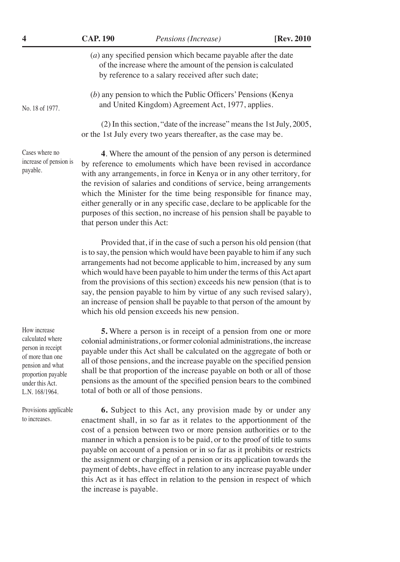| 4                                                    | <b>CAP. 190</b>                                                                                                                                                                        | Pensions (Increase)                                                                                                                                                                                                                                                                                                                                                                                                                                                                                                               | [Rev. 2010] |
|------------------------------------------------------|----------------------------------------------------------------------------------------------------------------------------------------------------------------------------------------|-----------------------------------------------------------------------------------------------------------------------------------------------------------------------------------------------------------------------------------------------------------------------------------------------------------------------------------------------------------------------------------------------------------------------------------------------------------------------------------------------------------------------------------|-------------|
|                                                      | $(a)$ any specified pension which became payable after the date<br>of the increase where the amount of the pension is calculated<br>by reference to a salary received after such date; |                                                                                                                                                                                                                                                                                                                                                                                                                                                                                                                                   |             |
| No. 18 of 1977.                                      |                                                                                                                                                                                        | $(b)$ any pension to which the Public Officers' Pensions (Kenya<br>and United Kingdom) Agreement Act, 1977, applies.                                                                                                                                                                                                                                                                                                                                                                                                              |             |
|                                                      |                                                                                                                                                                                        | (2) In this section, "date of the increase" means the 1st July, 2005,<br>or the 1st July every two years thereafter, as the case may be.                                                                                                                                                                                                                                                                                                                                                                                          |             |
| Cases where no<br>increase of pension is<br>payable. | that person under this Act:                                                                                                                                                            | 4. Where the amount of the pension of any person is determined<br>by reference to emoluments which have been revised in accordance<br>with any arrangements, in force in Kenya or in any other territory, for<br>the revision of salaries and conditions of service, being arrangements<br>which the Minister for the time being responsible for finance may,<br>either generally or in any specific case, declare to be applicable for the<br>purposes of this section, no increase of his pension shall be payable to           |             |
|                                                      |                                                                                                                                                                                        | Provided that, if in the case of such a person his old pension (that<br>is to say, the pension which would have been payable to him if any such<br>arrangements had not become applicable to him, increased by any sum<br>which would have been payable to him under the terms of this Act apart<br>from the provisions of this section) exceeds his new pension (that is to<br>say, the pension payable to him by virtue of any such revised salary),<br>an increase of pension shall be payable to that person of the amount by |             |

which his old pension exceeds his new pension.

How increase calculated where person in receipt of more than one pension and what proportion payable under this Act. L.N. 168/1964.

Provisions applicable to increases.

**5.** Where a person is in receipt of a pension from one or more colonial administrations, or former colonial administrations, the increase payable under this Act shall be calculated on the aggregate of both or all of those pensions, and the increase payable on the specified pension shall be that proportion of the increase payable on both or all of those pensions as the amount of the specified pension bears to the combined total of both or all of those pensions.

**6.** Subject to this Act, any provision made by or under any enactment shall, in so far as it relates to the apportionment of the cost of a pension between two or more pension authorities or to the manner in which a pension is to be paid, or to the proof of title to sums payable on account of a pension or in so far as it prohibits or restricts the assignment or charging of a pension or its application towards the payment of debts, have effect in relation to any increase payable under this Act as it has effect in relation to the pension in respect of which the increase is payable.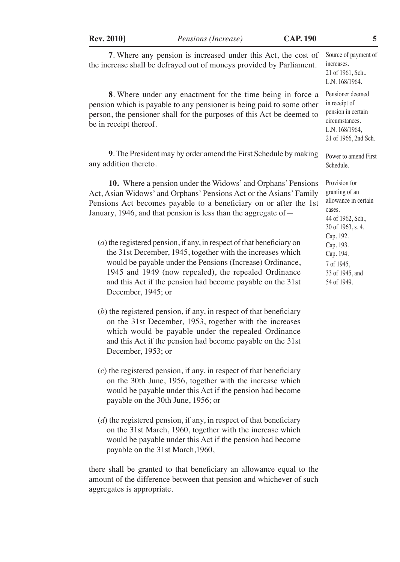**Rev. 2010]** *Pensions (Increase)* **CAP. 190 5**

| 7. Where any pension is increased under this Act, the cost of<br>the increase shall be defrayed out of moneys provided by Parliament.                                                                                                                                                                                                          | Source of payment of<br>increases.<br>21 of 1961, Sch.,<br>L.N. 168/1964.                                           |  |
|------------------------------------------------------------------------------------------------------------------------------------------------------------------------------------------------------------------------------------------------------------------------------------------------------------------------------------------------|---------------------------------------------------------------------------------------------------------------------|--|
| 8. Where under any enactment for the time being in force a<br>pension which is payable to any pensioner is being paid to some other<br>person, the pensioner shall for the purposes of this Act be deemed to<br>be in receipt thereof.                                                                                                         | Pensioner deemed<br>in receipt of<br>pension in certain<br>circumstances.<br>L.N. 168/1964,<br>21 of 1966, 2nd Sch. |  |
| 9. The President may by order amend the First Schedule by making<br>any addition thereto.                                                                                                                                                                                                                                                      | Power to amend First<br>Schedule.                                                                                   |  |
| 10. Where a pension under the Widows' and Orphans' Pensions<br>Act, Asian Widows' and Orphans' Pensions Act or the Asians' Family<br>Pensions Act becomes payable to a beneficiary on or after the 1st<br>January, 1946, and that pension is less than the aggregate of -                                                                      | Provision for<br>granting of an<br>allowance in certain<br>cases.<br>44 of 1962, Sch.,<br>30 of 1963, s. 4.         |  |
| $(a)$ the registered pension, if any, in respect of that beneficiary on<br>the 31st December, 1945, together with the increases which<br>would be payable under the Pensions (Increase) Ordinance,<br>1945 and 1949 (now repealed), the repealed Ordinance<br>and this Act if the pension had become payable on the 31st<br>December, 1945; or | Cap. 192.<br>Cap. 193.<br>Cap. 194.<br>7 of 1945,<br>33 of 1945, and<br>54 of 1949.                                 |  |

- (*b*) the registered pension, if any, in respect of that beneficiary on the 31st December, 1953, together with the increases which would be payable under the repealed Ordinance and this Act if the pension had become payable on the 31st December, 1953; or
- (*c*) the registered pension, if any, in respect of that beneficiary on the 30th June, 1956, together with the increase which would be payable under this Act if the pension had become payable on the 30th June, 1956; or
- (*d*) the registered pension, if any, in respect of that beneficiary on the 31st March, 1960, together with the increase which would be payable under this Act if the pension had become payable on the 31st March,1960,

there shall be granted to that beneficiary an allowance equal to the amount of the difference between that pension and whichever of such aggregates is appropriate.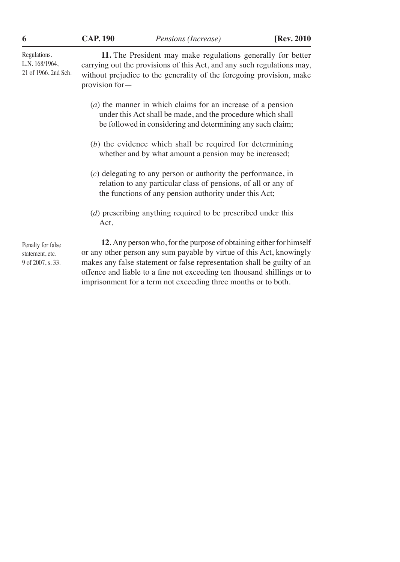Regulations. L.N. 168/1964, 21 of 1966, 2nd Sch. Penalty for false statement, etc. 9 of 2007, s. 33. **11.** The President may make regulations generally for better carrying out the provisions of this Act, and any such regulations may, without prejudice to the generality of the foregoing provision, make provision for— (*a*) the manner in which claims for an increase of a pension under this Act shall be made, and the procedure which shall be followed in considering and determining any such claim; (*b*) the evidence which shall be required for determining whether and by what amount a pension may be increased; (*c*) delegating to any person or authority the performance, in relation to any particular class of pensions, of all or any of the functions of any pension authority under this Act; (*d*) prescribing anything required to be prescribed under this Act. **12**. Any person who, for the purpose of obtaining either for himself or any other person any sum payable by virtue of this Act, knowingly makes any false statement or false representation shall be guilty of an offence and liable to a fine not exceeding ten thousand shillings or to

imprisonment for a term not exceeding three months or to both.